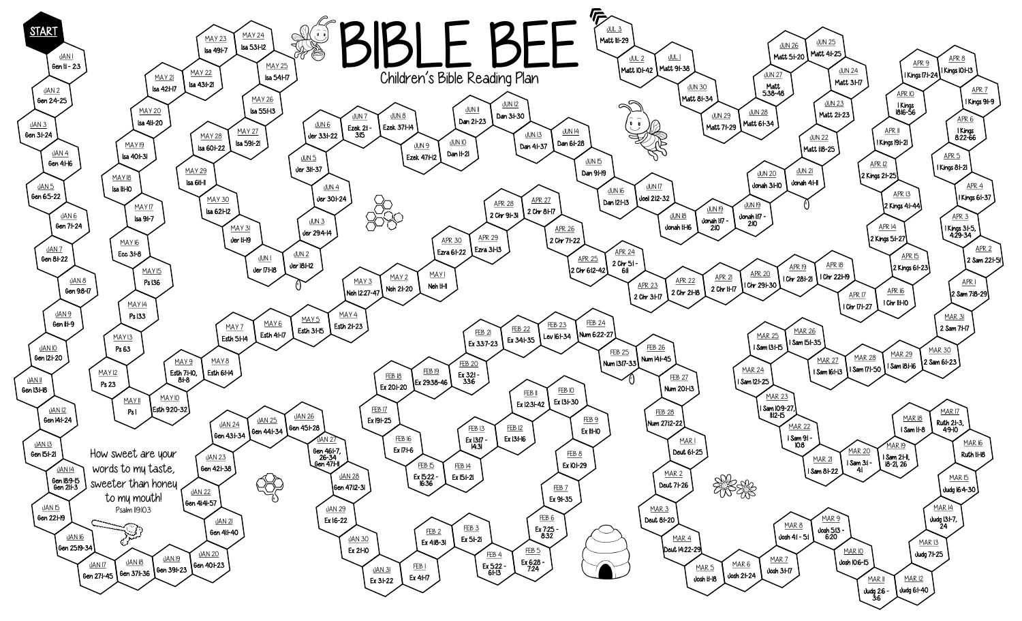